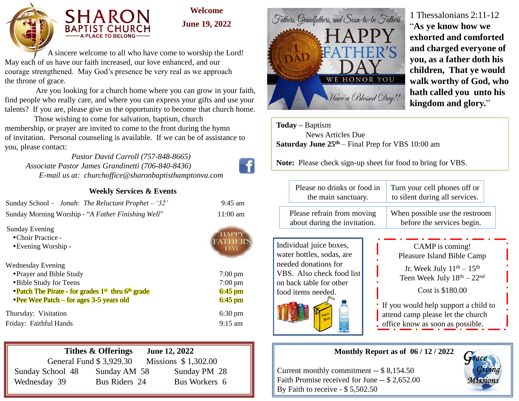



**Welcome June 19, 2022**

 A sincere welcome to all who have come to worship the Lord! May each of us have our faith increased, our love enhanced, and our courage strengthened. May God's presence be very real as we approach the throne of grace.

 Are you looking for a church home where you can grow in your faith, find people who really care, and where you can express your gifts and use your talents? If you are, please give us the opportunity to become that church home.

 Those wishing to come for salvation, baptism, church membership, or prayer are invited to come to the front during the hymn of invitation. Personal counseling is available. If we can be of assistance to you, please contact:

*Pastor David Carroll (757-848-8665) Associate Pastor James Grandinetti (706-840-8436) E-mail us at: churchoffice@sharonbaptisthamptonva.com*

## **Weekly Services & Events**

| Sunday School - Jonah: The Reluctant Prophet - '32' | $9:45 \text{ am}$  |
|-----------------------------------------------------|--------------------|
| Sunday Morning Worship - "A Father Finishing Well"  | $11:00 \text{ am}$ |

Sunday Evening

• Choir Practice -

• Evening Worship -

Wednesday Evening Prayer and Bible Study 7:00 pm

- Bible Study for Teens 7:00 pm
- Patch The Pirate for grades 1<sup>st</sup> thru 6<sup>th</sup> grade 6:45 pm
- Pee Wee Patch for ages 3-5 years old 6:45 pm

Thursday: Visitation 6:30 pm Friday: Faithful Hands 9:15 am



|                         | Tithes & Offerings | June 12, 2022 |                     |
|-------------------------|--------------------|---------------|---------------------|
| General Fund \$3,929.30 |                    |               | Missions \$1,302.00 |
| Sunday School 48        | Sunday AM 58       |               | Sunday PM 28        |
| Wednesday 39            | Bus Riders 24      |               | Bus Workers 6       |



# 1 Thessalonians 2:11-12 "**As ye know how we exhorted and comforted and charged everyone of you, as a father doth his children, That ye would walk worthy of God, who hath called you unto his kingdom and glory.**"

**Today –** Baptism News Articles Due **Saturday June 25th** – Final Prep for VBS 10:00 am

**Note:** Please check sign-up sheet for food to bring for VBS.

| Please no drinks or food in  | Turn your cell phones off or   |  |
|------------------------------|--------------------------------|--|
| the main sanctuary.          | to silent during all services. |  |
| Please refrain from moving   | When possible use the restroom |  |
| about during the invitation. | before the services begin.     |  |

Individual juice boxes, water bottles, sodas, are needed donations for VBS. Also check food list on back table for other food items needed.



CAMP is coming! Pleasure Island Bible Camp Jr. Week July  $11<sup>th</sup> - 15<sup>th</sup>$ Teen Week July  $18<sup>th</sup> - 22<sup>nd</sup>$ 

Cost is \$180.00

If you would help support a child to attend camp please let the church office know as soon as possible.

## **Monthly Report as of 06 / 12 / 2022**

Current monthly commitment -- \$ 8,154.50 Faith Promise received for June -- \$ 2,652.00 By Faith to receive - \$ 5,502.50